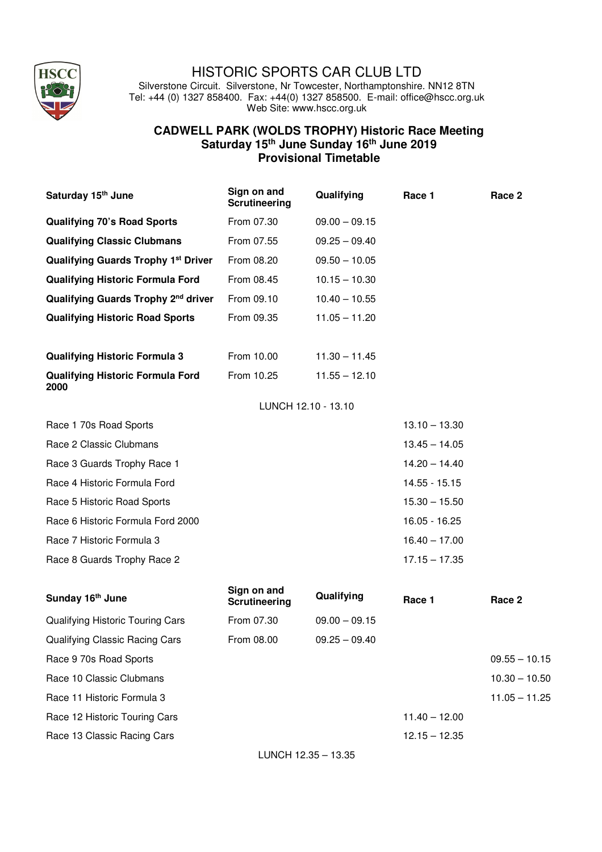

## HISTORIC SPORTS CAR CLUB LTD

Silverstone Circuit. Silverstone, Nr Towcester, Northamptonshire. NN12 8TN Tel: +44 (0) 1327 858400. Fax: +44(0) 1327 858500. E-mail: office@hscc.org.uk Web Site: www.hscc.org.uk

## **CADWELL PARK (WOLDS TROPHY) Historic Race Meeting Saturday 15th June Sunday 16th June 2019 Provisional Timetable**

| Saturday 15 <sup>th</sup> June                  | Sign on and<br><b>Scrutineering</b> | Qualifying          | Race 1          | Race 2          |
|-------------------------------------------------|-------------------------------------|---------------------|-----------------|-----------------|
| <b>Qualifying 70's Road Sports</b>              | From 07.30                          | $09.00 - 09.15$     |                 |                 |
| <b>Qualifying Classic Clubmans</b>              | From 07.55                          | $09.25 - 09.40$     |                 |                 |
| <b>Qualifying Guards Trophy 1st Driver</b>      | From 08.20                          | $09.50 - 10.05$     |                 |                 |
| <b>Qualifying Historic Formula Ford</b>         | From 08.45                          | $10.15 - 10.30$     |                 |                 |
| Qualifying Guards Trophy 2 <sup>nd</sup> driver | From 09.10                          | $10.40 - 10.55$     |                 |                 |
| <b>Qualifying Historic Road Sports</b>          | From 09.35                          | $11.05 - 11.20$     |                 |                 |
|                                                 |                                     |                     |                 |                 |
| <b>Qualifying Historic Formula 3</b>            | From 10.00                          | $11.30 - 11.45$     |                 |                 |
| <b>Qualifying Historic Formula Ford</b><br>2000 | From 10.25                          | $11.55 - 12.10$     |                 |                 |
|                                                 |                                     | LUNCH 12.10 - 13.10 |                 |                 |
| Race 1 70s Road Sports                          |                                     |                     | $13.10 - 13.30$ |                 |
| Race 2 Classic Clubmans                         |                                     |                     | $13.45 - 14.05$ |                 |
| Race 3 Guards Trophy Race 1                     |                                     |                     | $14.20 - 14.40$ |                 |
| Race 4 Historic Formula Ford                    |                                     |                     | 14.55 - 15.15   |                 |
| Race 5 Historic Road Sports                     |                                     |                     | $15.30 - 15.50$ |                 |
| Race 6 Historic Formula Ford 2000               |                                     |                     | 16.05 - 16.25   |                 |
| Race 7 Historic Formula 3                       |                                     |                     | $16.40 - 17.00$ |                 |
| Race 8 Guards Trophy Race 2                     |                                     |                     | $17.15 - 17.35$ |                 |
| Sunday 16th June                                | Sign on and<br><b>Scrutineering</b> | Qualifying          | Race 1          | Race 2          |
| Qualifying Historic Touring Cars                | From 07.30                          | $09.00 - 09.15$     |                 |                 |
| <b>Qualifying Classic Racing Cars</b>           | From 08.00                          | $09.25 - 09.40$     |                 |                 |
| Race 9 70s Road Sports                          |                                     |                     |                 | $09.55 - 10.15$ |
| Race 10 Classic Clubmans                        |                                     |                     |                 | $10.30 - 10.50$ |
| Race 11 Historic Formula 3                      |                                     |                     |                 | $11.05 - 11.25$ |
| Race 12 Historic Touring Cars                   |                                     |                     | $11.40 - 12.00$ |                 |

Race 13 Classic Racing Cars 12.15 – 12.35

LUNCH 12.35 – 13.35